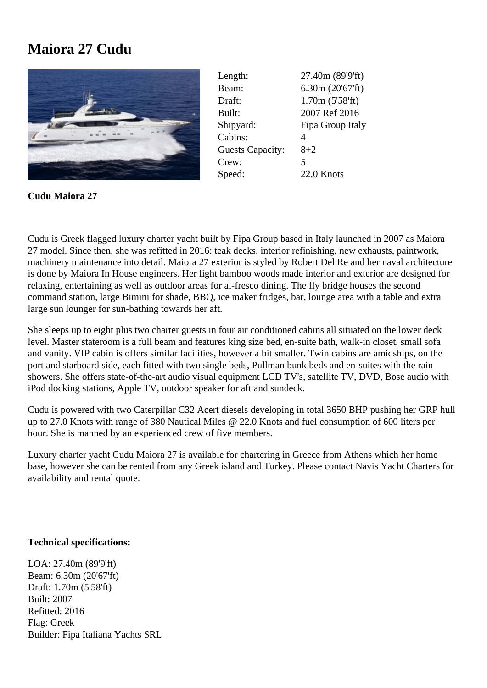## **Maiora 27 Cudu**



Length: 27.40m (89'9'ft) Beam: 6.30m (20'67'ft) Draft: 1.70m (5'58'ft) Built: 2007 Ref 2016 Shipyard: Fipa Group Italy Cabins: 4 Guests Capacity: 8+2 Crew: 5 Speed: 22.0 Knots

**Cudu Maiora 27**

Cudu is Greek flagged luxury charter yacht built by Fipa Group based in Italy launched in 2007 as Maiora 27 model. Since then, she was refitted in 2016: teak decks, interior refinishing, new exhausts, paintwork, machinery maintenance into detail. Maiora 27 exterior is styled by Robert Del Re and her naval architecture is done by Maiora In House engineers. Her light bamboo woods made interior and exterior are designed for relaxing, entertaining as well as outdoor areas for al-fresco dining. The fly bridge houses the second command station, large Bimini for shade, BBQ, ice maker fridges, bar, lounge area with a table and extra large sun lounger for sun-bathing towards her aft.

She sleeps up to eight plus two charter guests in four air conditioned cabins all situated on the lower deck level. Master stateroom is a full beam and features king size bed, en-suite bath, walk-in closet, small sofa and vanity. VIP cabin is offers similar facilities, however a bit smaller. Twin cabins are amidships, on the port and starboard side, each fitted with two single beds, Pullman bunk beds and en-suites with the rain showers. She offers state-of-the-art audio visual equipment LCD TV's, satellite TV, DVD, Bose audio with iPod docking stations, Apple TV, outdoor speaker for aft and sundeck.

Cudu is powered with two Caterpillar C32 Acert diesels developing in total 3650 BHP pushing her GRP hull up to 27.0 Knots with range of 380 Nautical Miles @ 22.0 Knots and fuel consumption of 600 liters per hour. She is manned by an experienced crew of five members.

Luxury charter yacht Cudu Maiora 27 is available for chartering in Greece from Athens which her home base, however she can be rented from any Greek island and Turkey. Please contact Navis Yacht Charters for availability and rental quote.

## **Technical specifications:**

LOA: 27.40m (89'9'ft) Beam: 6.30m (20'67'ft) Draft: 1.70m (5'58'ft) Built: 2007 Refitted: 2016 Flag: Greek Builder: Fipa Italiana Yachts SRL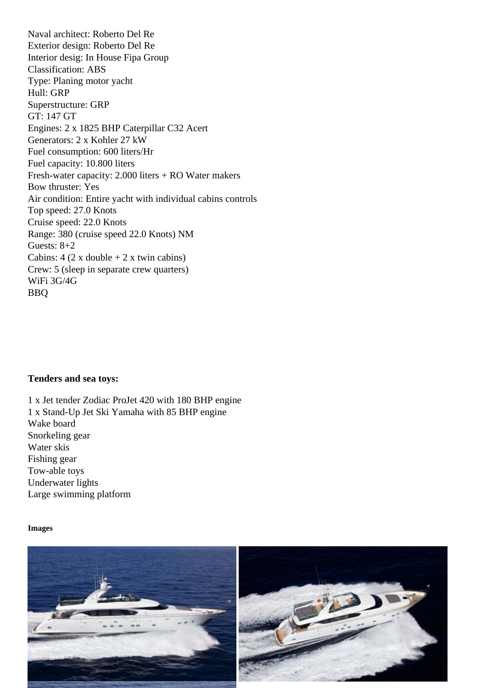Exterior design: Roberto Del Re Interior desig: In House Fipa Group Classification: ABS Type: Planing motor yacht Hull: GRP Superstructure: GRP GT: 147 GT Engines: 2 x 1825 BHP Caterpillar C32 Acert Generators: 2 x Kohler 27 kW Fuel consumption: 600 liters/Hr Fuel capacity: 10.800 liters Fresh-water capacity: 2.000 liters + RO Water makers Bow thruster: Yes Air condition: Entire yacht with individual cabins controls Top speed: 27.0 Knots Cruise speed: 22.0 Knots Range: 380 (cruise speed 22.0 Knots) NM Guests: 8+2 Cabins:  $4$  (2 x double  $+ 2$  x twin cabins) Crew: 5 (sleep in separate crew quarters) WiFi 3G/4G BBQ

Tenders and sea toys:

1 x Jet tender Zodiac ProJet 420 with 180 BHP engine 1 x Stand-Up Jet Ski Yamaha with 85 BHP engine Wake board Snorkeling gear Water skis Fishing gear Tow-able toys Underwater lights Large swimming platform

Images